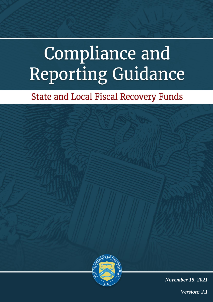# **Compliance and** Reporting Guidance

# **State and Local Fiscal Recovery Funds**



*Version: 2.1*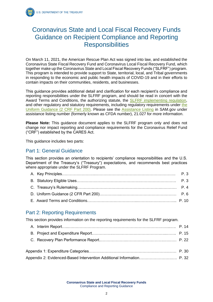### Coronavirus State and Local Fiscal Recovery Funds Guidance on Recipient Compliance and Reporting **Responsibilities**

On March 11, 2021, the American Rescue Plan Act was signed into law, and established the Coronavirus State Fiscal Recovery Fund and Coronavirus Local Fiscal Recovery Fund, which together make up the Coronavirus State and Local Fiscal Recovery Funds ("SLFRF") program. This program is intended to provide support to State, territorial, local, and Tribal governments in responding to the economic and public health impacts of COVID-19 and in their efforts to contain impacts on their communities, residents, and businesses.

This guidance provides additional detail and clarification for each recipient's compliance and reporting responsibilities under the SLFRF program, and should be read in concert with the Award Terms and Conditions, the authorizing statute, the [SLFRF implementing regulation,](https://www.govinfo.gov/content/pkg/FR-2021-05-17/pdf/2021-10283.pdf) and other regulatory and statutory requirements, including regulatory requirements under the [Uniform Guidance \(2 CRF Part 200\).](https://ecfr.federalregister.gov/current/title-2/subtitle-A) Please see the [Assistance Listing](https://sam.gov/fal/7cecfdef62dc42729a3fdcd449bd62b8/view) in SAM.gov under assistance listing number (formerly known as CFDA number), 21.027 for more information.

**Please Note:** This guidance document applies to the SLFRF program only and does not change nor impact reporting and compliance requirements for the Coronavirus Relief Fund ("CRF") established by the CARES Act.

This guidance includes two parts:

#### Part 1: General Guidance

This section provides an orientation to recipients' compliance responsibilities and the U.S. Department of the Treasury's ("Treasury") expectations, and recommends best practices where appropriate under the SLFRF Program.

#### Part 2: Reporting Requirements

This section provides information on the reporting requirements for the SLFRF program.

**Coronavirus State and Local Fiscal Recovery Funds** Compliance and Reporting Guidance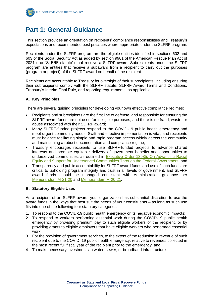# **Part 1: General Guidance**

This section provides an orientation on recipients' compliance responsibilities and Treasury's expectations and recommended best practices where appropriate under the SLFRF program.

Recipients under the SLFRF program are the eligible entities identified in sections 602 and 603 of the Social Security Act as added by section 9901 of the American Rescue Plan Act of 2021 (the "SLFRF statute") that receive a SLFRF award. Subrecipients under the SLFRF program are entities that receive a subaward from a recipient to carry out the purposes (program or project) of the SLFRF award on behalf of the recipient.

Recipients are accountable to Treasury for oversight of their subrecipients, including ensuring their subrecipients comply with the SLFRF statute, SLFRF Award Terms and Conditions, Treasury's Interim Final Rule, and reporting requirements, as applicable.

#### **A. Key Principles**

There are several guiding principles for developing your own effective compliance regimes:

- Recipients and subrecipients are the first line of defense, and responsible for ensuring the SLFRF award funds are not used for ineligible purposes, and there is no fraud, waste, or abuse associated with their SLFRF award;
- Many SLFRF-funded projects respond to the COVID-19 public health emergency and meet urgent community needs. Swift and effective implementation is vital, and recipients must balance facilitating simple and rapid program access widely across the community and maintaining a robust documentation and compliance regime;
- Treasury encourages recipients to use SLFRF-funded projects to advance shared interests and promote equitable delivery of government benefits and opportunities to underserved communities, as outlined in [Executive Order 13985, On Advancing Racial](https://www.whitehouse.gov/briefing-room/presidential-actions/2021/01/20/executive-order-advancing-racial-equity-and-support-for-underserved-communities-through-the-federal-government/)  [Equity and Support for Underserved Communities Through the Federal Government;](https://www.whitehouse.gov/briefing-room/presidential-actions/2021/01/20/executive-order-advancing-racial-equity-and-support-for-underserved-communities-through-the-federal-government/) and
- Transparency and public accountability for SLFRF award funds and use of such funds are critical to upholding program integrity and trust in all levels of government, and SLFRF award funds should be managed consistent with Administration guidance per [Memorandum M-21-20](https://www.whitehouse.gov/wp-content/uploads/2021/03/M_21_20.pdf) and [Memorandum M-20-21.](https://www.whitehouse.gov/wp-content/uploads/2020/04/Implementation-Guidance-for-Supplemental-Funding-Provided-in-Response.pdf)

#### **B. Statutory Eligible Uses**

As a recipient of an SLFRF award, your organization has substantial discretion to use the award funds in the ways that best suit the needs of your constituents – as long as such use fits into one of the following four statutory categories:

- 1. To respond to the COVID-19 public health emergency or its negative economic impacts;
- 2. To respond to workers performing essential work during the COVID-19 public health emergency by providing premium pay to such eligible workers of the recipient, or by providing grants to eligible employers that have eligible workers who performed essential work;
- 3. For the provision of government services, to the extent of the reduction in revenue of such recipient due to the COVID–19 public health emergency, relative to revenues collected in the most recent full fiscal year of the recipient prior to the emergency; and
- 4. To make necessary investments in water, sewer, or broadband infrastructure.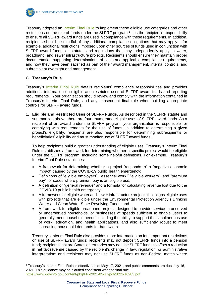Treasury adopted an [Interim Final Rule](https://www.govinfo.gov/content/pkg/FR-2021-05-17/pdf/2021-10283.pdf) to implement these eligible use categories and other restrictions on the use of funds under the SLFRF program.<sup>1</sup> It is the recipient's responsibility to ensure all SLFRF award funds are used in compliance with these requirements. In addition, recipients should be mindful of any additional compliance obligations that may apply – for example, additional restrictions imposed upon other sources of funds used in conjunction with SLFRF award funds, or statutes and regulations that may independently apply to water, broadband, and sewer infrastructure projects. Recipients should ensure they maintain proper documentation supporting determinations of costs and applicable compliance requirements, and how they have been satisfied as part of their award management, internal controls, and subrecipient oversight and management.

#### **C. Treasury's Rule**

Treasury's [Interim Final Rule](https://www.govinfo.gov/content/pkg/FR-2021-05-17/pdf/2021-10283.pdf) details recipients' compliance responsibilities and provides additional information on eligible and restricted uses of SLFRF award funds and reporting requirements. Your organization should review and comply with the information contained in Treasury's Interim Final Rule, and any subsequent final rule when building appropriate controls for SLFRF award funds.

**1. Eligible and Restricted Uses of SLFRF Funds.** As described in the SLFRF statute and summarized above, there are four enumerated eligible uses of SLFRF award funds. As a recipient of an award under the SLFRF program, your organization is responsible for complying with requirements for the use of funds. In addition to determining a given project's eligibility, recipients are also responsible for determining subrecipient's or beneficiaries' eligibility and must monitor use of SLFRF award funds.

To help recipients build a greater understanding of eligible uses, Treasury's Interim Final Rule establishes a framework for determining whether a specific project would be eligible under the SLFRF program, including some helpful definitions. For example, Treasury's Interim Final Rule establishes:

- A framework for determining whether a project "responds to" a "negative economic impact" caused by the COVID-19 public health emergency;
- Definitions of "eligible employers", "essential work," "eligible workers", and "premium pay" for cases where premium pay is an eligible use;
- A definition of "general revenue" and a formula for calculating revenue lost due to the COVID-19 public health emergency;
- A framework for eligible water and sewer infrastructure projects that aligns eligible uses with projects that are eligible under the Environmental Protection Agency's Drinking Water and Clean Water State Revolving Funds; and
- A framework for eligible broadband projects designed to provide service to unserved or underserved households, or businesses at speeds sufficient to enable users to generally meet household needs, including the ability to support the simultaneous use of work, education, and health applications, and also sufficiently robust to meet increasing household demands for bandwidth.

Treasury's Interim Final Rule also provides more information on four important restrictions on use of SLFRF award funds: recipients may not deposit SLFRF funds into a pension fund; recipients that are States or territories may not use SLFRF funds to offset a reduction in net tax revenue caused by the recipient's change in law, regulation, or administrative interpretation; and recipients may not use SLFRF funds as non-Federal match where

<sup>1</sup> Treasury's Interim Final Rule is effective as of May 17, 2021, and public comments are due July 16, 2021. This guidance may be clarified consistent with the final rule. <https://www.govinfo.gov/content/pkg/FR-2021-05-17/pdf/2021-10283.pdf>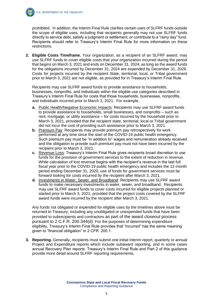

prohibited. In addition, the Interim Final Rule clarifies certain uses of SLFRF funds outside the scope of eligible uses, including that recipients generally may not use SLFRF funds directly to service debt, satisfy a judgment or settlement, or contribute to a "rainy day" fund. Recipients should refer to Treasury's Interim Final Rule for more information on these restrictions.

**2. Eligible Costs Timeframe.** Your organization, as a recipient of an SLFRF award, may use SLFRF funds to cover eligible costs that your organization incurred during the period that begins on March 3, 2021 and ends on December 31, 2024, as long as the award funds for the obligations incurred by December 31, 2024 are expended by December 31, 2026. Costs for projects incurred by the recipient State, territorial, local, or Tribal government prior to March 3, 2021 are not eligible, as provided for in Treasury's Interim Final Rule.

Recipients may use SLFRF award funds to provide assistance to households, businesses, nonprofits, and individuals within the eligible use categories described in Treasury's Interim Final Rule for costs that those households, businesses, nonprofits, and individuals incurred prior to March 3, 2021. For example,

- **a.** Public Health/Negative Economic Impacts: Recipients may use SLFRF award funds to provide assistance to households, small businesses, and nonprofits – such as rent, mortgage, or utility assistance – for costs incurred by the household prior to March 3, 2021, provided that the recipient state, territorial, local or Tribal government did not incur the cost of providing such assistance prior to March 3, 2021.
- **b.** Premium Pay: Recipients may provide premium pay retrospectively for work performed at any time since the start of the COVID-19 public health emergency. Such premium pay must be "in addition to" wages and remuneration already received and the obligation to provide such premium pay must not have been incurred by the recipient prior to March 3, 2021.
- **c.** Revenue Loss: Treasury's Interim Final Rule gives recipients broad discretion to use funds for the provision of government services to the extent of reduction in revenue. While calculation of lost revenue begins with the recipient's revenue in the last full fiscal year prior to the COVID-19 public health emergency and includes the 12-month period ending December 31, 2020, use of funds for government services must be forward looking for costs incurred by the recipient after March 3, 2021.
- **d.** Investments in Water, Sewer, and Broadband: Recipients may use SLFRF award funds to make necessary investments in water, sewer, and broadband. Recipients may use SLFRF award funds to cover costs incurred for eligible projects planned or started prior to March 3, 2021, provided that the project costs covered by the SLFRF award funds were incurred by the recipient after March 3, 2021.

Any funds not obligated or expended for eligible uses by the timelines above must be returned to Treasury, including any unobligated or unexpended funds that have been provided to subrecipients and contractors as part of the award closeout process pursuant to 2 C.F.R. 200.344(d). For the purposes of determining expenditure eligibility, Treasury's Interim Final Rule provides that "incurred" has the same meaning given to "financial obligation" in 2 CFR 200.1.

**3. Reporting.** Generally, recipients must submit one initial interim report, quarterly or annual Project and Expenditure reports which include subaward reporting, and in some cases annual Recovery Plan reports. Treasury's Interim Final Rule and Part 2 of this guidance provide more detail around SLFRF reporting requirements.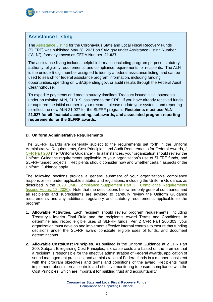

#### **Assistance Listing**

The [Assistance Listing](https://sam.gov/fal/7cecfdef62dc42729a3fdcd449bd62b8/view) for the Coronavirus State and Local Fiscal Recovery Funds (SLFRF) was published May 28, 2021 on SAM.gov under Assistance Listing Number ("ALN"), formerly known as CFDA Number, **21.027**.

The assistance listing includes helpful information including program purpose, statutory authority, eligibility requirements, and compliance requirements for recipients. The ALN is the unique 5-digit number assigned to identify a federal assistance listing, and can be used to search for federal assistance program information, including funding opportunities, spending on USASpending.gov, or audit results through the Federal Audit Clearinghouse.

To expedite payments and meet statutory timelines Treasury issued initial payments under an existing ALN, 21.019, assigned to the CRF. If you have already received funds or captured the initial number in your records, please update your systems and reporting to reflect the new ALN 21.027 for the SLFRF program. **Recipients must use ALN 21.027 for all financial accounting, subawards, and associated program reporting requirements for the SLFRF awards.**

#### **D. Uniform Administrative Requirements**

The SLFRF awards are generally subject to the requirements set forth in the Uniform Administrative Requirements, Cost Principles, and Audit Requirements for Federal Awards, [2](https://ecfr.federalregister.gov/current/title-2/subtitle-A/chapter-II/part-200)  [CFR Part 200](https://ecfr.federalregister.gov/current/title-2/subtitle-A/chapter-II/part-200) (the "Uniform Guidance"). In all instances, your organization should review the Uniform Guidance requirements applicable to your organization's use of SLFRF funds, and SLFRF-funded projects. Recipients should consider how and whether certain aspects of the Uniform Guidance apply.

The following sections provide a general summary of your organization's compliance responsibilities under applicable statutes and regulations, including the Uniform Guidance, as described in the [2020 OMB Compliance Supplement Part 3. Compliance Requirements](https://www.whitehouse.gov/wp-content/uploads/2020/08/2020-Compliance-Supplement_FINAL_08.06.20.pdf)  [\(issued August 18, 2020\)](https://www.whitehouse.gov/wp-content/uploads/2020/08/2020-Compliance-Supplement_FINAL_08.06.20.pdf). Note that the descriptions below are only general summaries and all recipients and subrecipients are advised to carefully review the Uniform Guidance requirements and any additional regulatory and statutory requirements applicable to the program.

- **1. Allowable Activities.** Each recipient should review program requirements, including Treasury's Interim Final Rule and the recipient's Award Terms and Conditions, to determine and record eligible uses of SLFRF funds. Per 2 CFR Part 200.303, your organization must develop and implement effective internal controls to ensure that funding decisions under the SLFRF award constitute eligible uses of funds, and document determinations.
- **2. Allowable Costs/Cost Principles.** As outlined in the Uniform Guidance at 2 CFR Part 200, Subpart E regarding Cost Principles, allowable costs are based on the premise that a recipient is responsible for the effective administration of Federal awards, application of sound management practices, and administration of Federal funds in a manner consistent with the program objectives and terms and conditions of the award. Recipients must implement robust internal controls and effective monitoring to ensure compliance with the Cost Principles, which are important for building trust and accountability.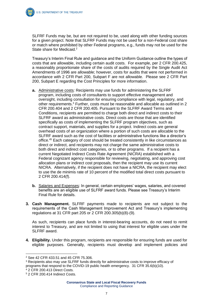SLFRF Funds may be, but are not required to be, used along with other funding sources for a given project. Note that SLFRF Funds may not be used for a non-Federal cost share or match where prohibited by other Federal programs, e.g., funds may not be used for the State share for Medicaid.<sup>2</sup>

Treasury's Interim Final Rule and guidance and the Uniform Guidance outline the types of costs that are allowable, including certain audit costs. For example, per 2 CFR 200.425, a reasonably proportionate share of the costs of audits required by the Single Audit Act Amendments of 1996 are allowable; however, costs for audits that were not performed in accordance with 2 CFR Part 200, Subpart F are not allowable. Please see 2 CFR Part 200, Subpart E regarding the Cost Principles for more information.

- **a.** Administrative costs*:* Recipients may use funds for administering the SLFRF program, including costs of consultants to support effective management and oversight, including consultation for ensuring compliance with legal, regulatory, and other requirements.<sup>3</sup> Further, costs must be reasonable and allocable as outlined in 2 CFR 200.404 and 2 CFR 200.405. Pursuant to the SLFRF Award Terms and Conditions, recipients are permitted to charge both direct and indirect costs to their SLFRF award as administrative costs. Direct costs are those that are identified specifically as costs of implementing the SLFRF program objectives, such as contract support, materials, and supplies for a project. Indirect costs are general overhead costs of an organization where a portion of such costs are allocable to the SLFRF award such as the cost of facilities or administrative functions like a director's office.<sup>45</sup> Each category of cost should be treated consistently in like circumstances as direct or indirect, and recipients may not charge the same administrative costs to both direct and indirect cost categories, or to other programs. If a recipient has a current Negotiated Indirect Costs Rate Agreement (NICRA) established with a Federal cognizant agency responsible for reviewing, negotiating, and approving cost allocation plans or indirect cost proposals, then the recipient may use its current NICRA. Alternatively, if the recipient does not have a NICRA, the recipient may elect to use the de minimis rate of 10 percent of the modified total direct costs pursuant to 2 CFR 200.414(f).
- **b.** Salaries and Expenses*:* In general, certain employees' wages, salaries, and covered benefits are an eligible use of SLFRF award funds. Please see Treasury's Interim Final Rule for details.
- **3. Cash Management.** SLFRF payments made to recipients are not subject to the requirements of the Cash Management Improvement Act and Treasury's implementing regulations at 31 CFR part 205 or 2 CFR 200.305(b)(8)-(9).

As such, recipients can place funds in interest-bearing accounts, do not need to remit interest to Treasury, and are not limited to using that interest for eligible uses under the SLFRF award.

**4. Eligibility.** Under this program, recipients are responsible for ensuring funds are used for eligible purposes. Generally, recipients must develop and implement policies and

- <sup>3</sup> Recipients also may use SLFRF funds directly for administrative costs to improve efficacy of programs that respond to the COVID-19 public health emergency. 31 CFR 35.6(b)(10).
- <sup>4</sup> 2 CFR 200.413 Direct Costs.

<sup>2</sup> See 42 CFR 433.51 and 45 CFR 75.306.

<sup>5</sup> 2 CFR 200.414 Indirect Costs.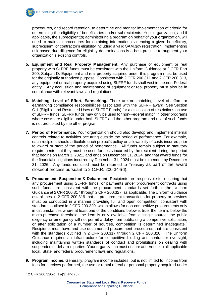procedures, and record retention, to determine and monitor implementation of criteria for determining the eligibility of beneficiaries and/or subrecipients. Your organization, and if applicable, the subrecipient(s) administering a program on behalf of your organization, will need to maintain procedures for obtaining information evidencing a given beneficiary, subrecipient, or contractor's eligibility including a valid SAM.gov registration. Implementing risk-based due diligence for eligibility determinations is a best practice to augment your organization's existing controls.

- **5. Equipment and Real Property Management.** Any purchase of equipment or real property with SLFRF funds must be consistent with the Uniform Guidance at 2 CFR Part 200, Subpart D. Equipment and real property acquired under this program must be used for the originally authorized purpose. Consistent with 2 CFR 200.311 and 2 CFR 200.313, any equipment or real property acquired using SLFRF funds shall vest in the non-Federal entity. Any acquisition and maintenance of equipment or real property must also be in compliance with relevant laws and regulations.
- **6. Matching, Level of Effort, Earmarking.** There are no matching, level of effort, or earmarking compliance responsibilities associated with the SLFRF award. See Section C.1 (Eligible and Restricted Uses of SLFRF Funds) for a discussion of restrictions on use of SLFRF funds. SLFRF funds may only be used for non-Federal match in other programs where costs are eligible under both SLFRF and the other program and use of such funds is not prohibited by the other program.
- **7. Period of Performance.** Your organization should also develop and implement internal controls related to activities occurring outside the period of performance. For example, each recipient should articulate each project's policy on allowability of costs incurred prior to award or start of the period of performance. All funds remain subject to statutory requirements that they must be used for costs incurred by the recipient during the period that begins on March 3, 2021, and ends on December 31, 2024, and that award funds for the financial obligations incurred by December 31, 2024 must be expended by December 31, 2026. Any funds not used must be returned to Treasury as part of the award closeout process pursuant to 2 C.F.R. 200.344(d).
- **8. Procurement, Suspension & Debarment.** Recipients are responsible for ensuring that any procurement using SLFRF funds, or payments under procurement contracts using such funds are consistent with the procurement standards set forth in the Uniform Guidance at 2 CFR 200.317 through 2 CFR 200.327, as applicable. The Uniform Guidance establishes in 2 CFR 200.319 that all procurement transactions for property or services must be conducted in a manner providing full and open competition, consistent with standards outlined in 2 CFR 200.320, which allows for non-competitive procurements only in circumstances where at least one of the conditions below is true: the item is below the micro-purchase threshold; the item is only available from a single source; the public exigency or emergency will not permit a delay from publicizing a competitive solicitation; or after solicitation of a number of sources, competition is determined inadequate.<sup>6</sup> Recipients must have and use documented procurement procedures that are consistent with the standards outlined in 2 CFR 200.317 through 2 CFR 200.320. The Uniform Guidance requires an infrastructure for competitive bidding and contractor oversight, including maintaining written standards of conduct and prohibitions on dealing with suspended or debarred parties. Your organization must ensure adherence to all applicable local, State, and federal procurement laws and regulations.
- **9. Program Income.** Generally, program income includes, but is not limited to, income from fees for services performed, the use or rental of real or personal property acquired under

<sup>6</sup> 2 CFR 200.320(c)(1)-(3) and (5)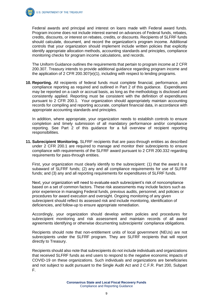

Federal awards and principal and interest on loans made with Federal award funds. Program income does not include interest earned on advances of Federal funds, rebates, credits, discounts, or interest on rebates, credits, or discounts. Recipients of SLFRF funds should calculate, document, and record the organization's program income. Additional controls that your organization should implement include written policies that explicitly identify appropriate allocation methods, accounting standards and principles, compliance monitoring checks for program income calculations, and records.

The Uniform Guidance outlines the requirements that pertain to program income at 2 CFR 200.307. Treasury intends to provide additional guidance regarding program income and the application of 2 CFR 200.307(e)(1), including with respect to lending programs.

**10. Reporting.** All recipients of federal funds must complete financial, performance, and compliance reporting as required and outlined in Part 2 of this guidance. Expenditures may be reported on a cash or accrual basis, as long as the methodology is disclosed and consistently applied. Reporting must be consistent with the definition of expenditures pursuant to 2 CFR 200.1. Your organization should appropriately maintain accounting records for compiling and reporting accurate, compliant financial data, in accordance with appropriate accounting standards and principles.

In addition, where appropriate, your organization needs to establish controls to ensure completion and timely submission of all mandatory performance and/or compliance reporting. See Part 2 of this guidance for a full overview of recipient reporting responsibilities.

**11. Subrecipient Monitoring.** SLFRF recipients that are pass-through entities as described under 2 CFR 200.1 are required to manage and monitor their subrecipients to ensure compliance with requirements of the SLFRF award pursuant to 2 CFR 200.332 regarding requirements for pass-through entities.

First, your organization must clearly identify to the subrecipient: (1) that the award is a subaward of SLFRF funds; (2) any and all compliance requirements for use of SLFRF funds; and (3) any and all reporting requirements for expenditures of SLFRF funds.

Next, your organization will need to evaluate each subrecipient's risk of noncompliance based on a set of common factors. These risk assessments may include factors such as prior experience in managing Federal funds, previous audits, personnel, and policies or procedures for award execution and oversight. Ongoing monitoring of any given subrecipient should reflect its assessed risk and include monitoring, identification of deficiencies, and follow-up to ensure appropriate remediation.

Accordingly, your organization should develop written policies and procedures for subrecipient monitoring and risk assessment and maintain records of all award agreements identifying or otherwise documenting subrecipients' compliance obligations.

Recipients should note that non-entitlement units of local government (NEUs) are not subrecipients under the SLFRF program. They are SLFRF recipients that will report directly to Treasury.

Recipients should also note that subrecipients do not include individuals and organizations that received SLFRF funds as end users to respond to the negative economic impacts of COVID-19 on these organizations. Such individuals and organizations are beneficiaries and not subject to audit pursuant to the Single Audit Act and 2 C.F.R. Part 200. Subpart F.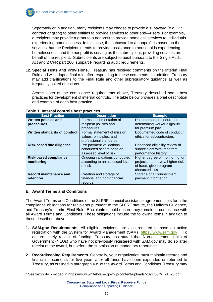Separately or in addition, many recipients may choose to provide a subaward (e.g., via contract or grant) to other entities to provide services to other end—users. For example, a recipient may provide a grant to a nonprofit to provide homeless services to individuals experiencing homelessness. In this case, the subaward to a nonprofit is based on the services that the Recipient intends to provide, assistance to households experiencing homelessness, and the nonprofit is serving as the subrecipient, providing services on behalf of the recipient. Subrecipients are subject to audit pursuant to the Single Audit Act and 2 CFR part 200, subpart F regarding audit requirements.

**12. Special Tests and Provisions.** Treasury has received comments on the Interim Final Rule and will adopt a final rule after responding to these comments. In addition, Treasury may add clarifications to the Final Rule and other subregulatory guidance as well as frequently asked questions.

Across each of the compliance requirements above, Treasury described some best practices for development of internal controls. The table below provides a brief description and example of each best practice.

| <b>Best Practice</b>                       | <b>Description</b>                                                                | <b>Example</b>                                                                                                    |
|--------------------------------------------|-----------------------------------------------------------------------------------|-------------------------------------------------------------------------------------------------------------------|
| <b>Written policies and</b><br>procedures  | Formal documentation of<br>recipient policies and<br>procedures                   | Documented procedure for<br>determining worker eligibility<br>for premium pay                                     |
| Written standards of conduct               | Formal statement of mission,<br>values, principles, and<br>professional standards | Documented code of conduct /<br>ethics for subcontractors                                                         |
| <b>Risk-based due diligence</b>            | Pre-payment validations<br>conducted according to an<br>assessed level of risk    | Enhanced eligibility review of<br>subrecipient with imperfect<br>performance history                              |
| <b>Risk-based compliance</b><br>monitoring | Ongoing validations conducted<br>according to an assessed level<br>of risk        | Higher degree of monitoring for<br>projects that have a higher risk<br>of fraud, given program<br>characteristics |
| <b>Record maintenance and</b><br>retention | Creation and storage of<br>financial and non-financial<br>records.                | Storage of all subrecipient<br>payment information.                                                               |

#### **Table 1: Internal controls best practices**

#### **E. Award Terms and Conditions**

The Award Terms and Conditions of the SLFRF financial assistance agreement sets forth the compliance obligations for recipients pursuant to the SLFRF statute, the Uniform Guidance, and Treasury's Interim Final Rule. Recipients should ensure they remain in compliance with all Award Terms and Conditions. These obligations include the following items in addition to those described above:

- **1. SAM.gov Requirements.** All eligible recipients are also required to have an active registration with the System for Award Management (SAM) [\(https://www.sam.gov\)](https://www.sam.gov/). To ensure timely receipt of funding, Treasury has stated that Non-entitlement Units of Government (NEUs) who have not previously registered with SAM.gov may do so after receipt of the award, but before the submission of mandatory reporting.<sup>7</sup>
- **2. Recordkeeping Requirements.** Generally, your organization must maintain records and financial documents for five years after all funds have been expended or returned to Treasury, as outlined in paragraph 4.c. of the Award Terms and Conditions. Treasury may

<sup>7</sup> See flexibility provided in https://www.whitehouse.gov/wp-content/uploads/2021/03/M\_21\_20.pdf.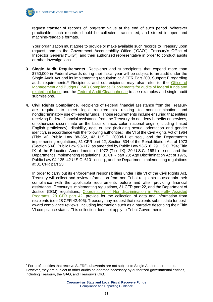request transfer of records of long-term value at the end of such period. Wherever practicable, such records should be collected, transmitted, and stored in open and machine-readable formats.

Your organization must agree to provide or make available such records to Treasury upon request, and to the Government Accountability Office ("GAO"), Treasury's Office of Inspector General ("OIG"), and their authorized representative in order to conduct audits or other investigations.

- **3. Single Audit Requirements.** Recipients and subrecipients that expend more than \$750,000 in Federal awards during their fiscal year will be subject to an audit under the Single Audit Act and its implementing regulation at 2 CFR Part 200, Subpart F regarding audit requirements.<sup>8</sup> Recipients and subrecipients may also refer to the Office of Management and Budget (OMB) [Compliance Supplements for audits of federal funds and](https://www.whitehouse.gov/omb/office-federal-financial-management/)  [related guidance](https://www.whitehouse.gov/omb/office-federal-financial-management/) and the [Federal Audit Clearinghouse](https://facweb.census.gov/uploadpdf.aspx) to see examples and single audit submissions.
- **4. Civil Rights Compliance**. Recipients of Federal financial assistance from the Treasury are required to meet legal requirements relating to nondiscrimination and nondiscriminatory use of Federal funds. Those requirements include ensuring that entities receiving Federal financial assistance from the Treasury do not deny benefits or services, or otherwise discriminate on the basis of race, color, national origin (including limited English proficiency), disability, age, or sex (including sexual orientation and gender identity), in accordance with the following authorities: Title VI of the Civil Rights Act of 1964 (Title VI) Public Law 88-352, 42 U.S.C. 2000d-1 et seq., and the Department's implementing regulations, 31 CFR part 22; Section 504 of the Rehabilitation Act of 1973 (Section 504), Public Law 93-112, as amended by Public Law 93-516, 29 U.S.C. 794; Title IX of the Education Amendments of 1972 (Title IX), 20 U.S.C. 1681 et seq., and the Department's implementing regulations, 31 CFR part 28; Age Discrimination Act of 1975, Public Law 94-135, 42 U.S.C. 6101 et seq., and the Department implementing regulations at 31 CFR part 23.

In order to carry out its enforcement responsibilities under Title VI of the Civil Rights Act, Treasury will collect and review information from non-Tribal recipients to ascertain their compliance with the applicable requirements before and after providing financial assistance. Treasury's implementing regulations, 31 CFR part 22, and the Department of Justice (DOJ) regulations, [Coordination of Non-discrimination in Federally Assisted](https://www.justice.gov/crt/28-cfr-42401-42415)  [Programs, 28 CFR part 42,](https://www.justice.gov/crt/28-cfr-42401-42415) provide for the collection of data and information from recipients (see 28 CFR 42.406). Treasury may request that recipients submit data for postaward compliance reviews, including information such as a narrative describing their Title VI compliance status. This collection does not apply to Tribal Governments.

<sup>8</sup> For-profit entities that receive SLFRF subawards are not subject to Single Audit requirements. However, they are subject to other audits as deemed necessary by authorized governmental entities, including Treasury, the GAO, and Treasury's OIG.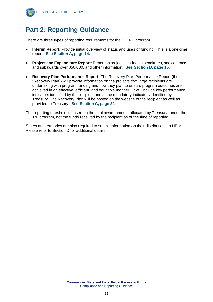

# **Part 2: Reporting Guidance**

There are three types of reporting requirements for the SLFRF program.

- **Interim Report:** Provide initial overview of status and uses of funding. This is a one-time report. **See Section A, page 14.**
- **Project and Expenditure Report:** Report on projects funded, expenditures, and contracts and subawards over \$50,000, and other information. **See Section B, page 15.**
- **Recovery Plan Performance Report:** The Recovery Plan Performance Report (the "Recovery Plan") will provide information on the projects that large recipients are undertaking with program funding and how they plan to ensure program outcomes are achieved in an effective, efficient, and equitable manner. It will include key performance indicators identified by the recipient and some mandatory indicators identified by Treasury. The Recovery Plan will be posted on the website of the recipient as well as provided to Treasury. **See Section C, page 22.**

The reporting threshold is based on the total award amount allocated by Treasury under the SLFRF program, not the funds received by the recipient as of the time of reporting.

States and territories are also required to submit information on their distributions to NEUs. Please refer to Section D for additional details.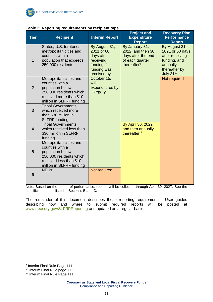| <b>Tier</b>    | <br>$\cdot$ $\cdot$<br><br><b>Recipient</b>                                                                                                      | <br><b>Interim Report</b>                                                                          | <b>Project and</b><br><b>Expenditure</b><br><b>Report</b>                                               | <b>Recovery Plan</b><br><b>Performance</b><br><b>Report</b>                                                          |
|----------------|--------------------------------------------------------------------------------------------------------------------------------------------------|----------------------------------------------------------------------------------------------------|---------------------------------------------------------------------------------------------------------|----------------------------------------------------------------------------------------------------------------------|
| 1              | States, U.S. territories,<br>metropolitan cities and<br>counties with a<br>population that exceeds<br>250,000 residents                          | By August 31,<br>2021 or 60<br>days after<br>receiving<br>funding if<br>funding was<br>received by | By January 31,<br>2022, and then 30<br>days after the end<br>of each quarter<br>thereafter <sup>9</sup> | By August 31,<br>2021 or 60 days<br>after receiving<br>funding, and<br>annually<br>thereafter by<br><b>July 3110</b> |
| $\overline{2}$ | Metropolitan cities and<br>counties with a<br>population below<br>250,000 residents which<br>received more than \$10<br>million in SLFRF funding | October 15,<br>with<br>expenditures by<br>category                                                 |                                                                                                         | Not required                                                                                                         |
| 3              | <b>Tribal Governments</b><br>which received more<br>than \$30 million in<br><b>SLFRF</b> funding                                                 |                                                                                                    |                                                                                                         |                                                                                                                      |
| $\overline{4}$ | <b>Tribal Governments</b><br>which received less than<br>\$30 million in SLFRF<br>funding                                                        |                                                                                                    | By April 30, 2022,<br>and then annually<br>thereafter <sup>11</sup>                                     |                                                                                                                      |
| 5              | Metropolitan cities and<br>counties with a<br>population below<br>250,000 residents which<br>received less than \$10<br>million in SLFRF funding |                                                                                                    |                                                                                                         |                                                                                                                      |
| 6              | <b>NEUs</b>                                                                                                                                      | Not required                                                                                       |                                                                                                         |                                                                                                                      |

#### **Table 2: Reporting requirements by recipient type**

Note: Based on the period of performance, reports will be collected through April 30, 2027. See the specific due dates listed in Sections B and C.

The remainder of this document describes these reporting requirements. User guides describing how and where to submit required reports will be posted at [www.treasury.gov/SLFRPReporting](http://www.treasury.gov/SLFRPReporting) and updated on a regular basis.

<sup>&</sup>lt;sup>9</sup> Interim Final Rule Page 111

<sup>10</sup> Interim Final Rule page 112

<sup>&</sup>lt;sup>11</sup> Interim Final Rule Page 111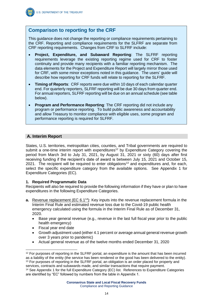

#### **Comparison to reporting for the CRF**

This guidance does not change the reporting or compliance requirements pertaining to the CRF. Reporting and compliance requirements for the SLFRF are separate from CRF reporting requirements. Changes from CRF to SLFRF include:

- **Project, Expenditure, and Subaward Reporting**: The SLFRF reporting requirements leverage the existing reporting regime used for CRF to foster continuity and provide many recipients with a familiar reporting mechanism. The data elements for the Project and Expenditure Report will largely mirror those used for CRF, with some minor exceptions noted in this guidance. The users' guide will describe how reporting for CRF funds will relate to reporting for the SLFRF.
- **Timing of Reports**: CRF reports were due within 10 days of each calendar quarter end. For quarterly reporters, SLFRF reporting will be due 30 days from quarter end. For annual reporters, SLFRF reporting will be due on an annual schedule (see table below).
- **Program and Performance Reporting**: The CRF reporting did not include any program or performance reporting. To build public awareness and accountability and allow Treasury to monitor compliance with eligible uses, some program and performance reporting is required for SLFRF.

#### **A. Interim Report**

States, U.S. territories, metropolitan cities, counties, and Tribal governments are required to submit a one-time interim report with expenditures<sup>12</sup> by Expenditure Category covering the period from March 3rd to July 31, 2021, by August 31, 2021 or sixty (60) days after first receiving funding if the recipient's date of award is between July 15, 2021 and October 15, 2021. The recipient will be required to enter obligations<sup>13</sup> and expenditures and, for each, select the specific expenditure category from the available options. See Appendix 1 for Expenditure Categories (EC).

#### **1. Required Programmatic Data**

Recipients will also be required to provide the following information if they have or plan to have expenditures in the following Expenditure Categories.

- **a.** Revenue replacement (EC 6.1<sup>14</sup>): Key inputs into the revenue replacement formula in the Interim Final Rule and estimated revenue loss due to the Covid-19 public health emergency calculated using the formula in the Interim Final Rule as of December 31, 2020.
	- Base year general revenue (e.g., revenue in the last full fiscal year prior to the public health emergency)
	- Fiscal year end date
	- Growth adjustment used (either 4.1 percent or average annual general revenue growth over 3 years prior to pandemic)
	- Actual general revenue as of the twelve months ended December 31, 2020

<sup>&</sup>lt;sup>12</sup> For purposes of reporting in the SLFRF portal, an expenditure is the amount that has been incurred as a liability of the entity (the service has been rendered or the good has been delivered to the entity). <sup>13</sup> For purposes of reporting in the SLFRF portal, an obligation is an order placed for property and services, contracts and subawards made, and similar transactions that require payment.

<sup>14</sup> See Appendix 1 for the full Expenditure Category (EC) list. References to Expenditure Categories are identified by "EC" followed by numbers from the table in Appendix 1.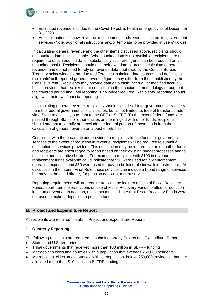

- Estimated revenue loss due to the Covid-19 public health emergency as of December 31, 2020
- An explanation of how revenue replacement funds were allocated to government services (Note: additional instructions and/or template to be provided in users' guide)

In calculating general revenue and the other items discussed above, recipients should use audited data if it is available. When audited data is not available, recipients are not required to obtain audited data if substantially accurate figures can be produced on an unaudited basis. Recipients should use their own data sources to calculate general revenue, and do not need to rely on revenue data published by the Census Bureau. Treasury acknowledges that due to differences in timing, data sources, and definitions, recipients' self-reported general revenue figures may differ from those published by the Census Bureau. Recipients may provide data on a cash, accrual, or modified accrual basis, provided that recipients are consistent in their choice of methodology throughout the covered period and until reporting is no longer required. Recipients' reporting should align with their own financial reporting.

In calculating general revenue, recipients should exclude all intergovernmental transfers from the federal government. This includes, but is not limited to, federal transfers made via a State to a locality pursuant to the CRF or SLFRF. To the extent federal funds are passed through States or other entities or intermingled with other funds, recipients should attempt to identify and exclude the federal portion of those funds from the calculation of general revenue on a best-efforts basis.

Consistent with the broad latitude provided to recipients to use funds for government services to the extent of reduction in revenue, recipients will be required to submit a description of services provided. This description may be in narrative or in another form, and recipients are encouraged to report based on their existing budget processes and to minimize administrative burden. For example, a recipient with \$100 in revenue replacement funds available could indicate that \$50 were used for law enforcement operating expenses and \$50 were used for pay-go building of sidewalk infrastructure. As discussed in the Interim Final Rule, these services can include a broad range of services but may not be used directly for pension deposits or debt service.

Reporting requirements will not require tracking the indirect effects of Fiscal Recovery Funds, apart from the restrictions on use of Fiscal Recovery Funds to offset a reduction in net tax revenue. In addition, recipients must indicate that Fiscal Recovery Funds were not used to make a deposit in a pension fund.

#### **B. Project and Expenditure Report**

All recipients are required to submit Project and Expenditure Reports.

#### **1. Quarterly Reporting**

The following recipients are required to submit quarterly Project and Expenditure Reports:

- States and U.S. territories
- Tribal governments that received more than \$30 million in SLFRF funding
- Metropolitan cities and counties with a population that exceeds 250,000 residents
- Metropolitan cities and counties with a population below 250,000 residents that are allocated more than \$10 million in SLFRF funding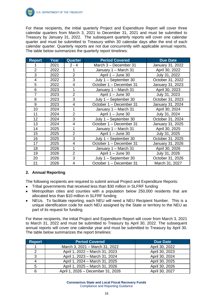

For these recipients, the initial quarterly Project and Expenditure Report will cover three calendar quarters from March 3, 2021 to December 31, 2021 and must be submitted to Treasury by January 31, 2022. The subsequent quarterly reports will cover one calendar quarter and must be submitted to Treasury within 30 calendar days after the end of each calendar quarter. Quarterly reports are not due concurrently with applicable annual reports. The table below summarizes the quarterly report timelines:

| <b>Report</b>  | Year | <b>Quarter</b> | <b>Period Covered</b>   | <b>Due Date</b>  |
|----------------|------|----------------|-------------------------|------------------|
| 1              | 2021 | $2 - 4$        | March 3 - December 31   | January 31, 2022 |
| $\overline{2}$ | 2022 | 1              | January 1 - March 31    | April 30, 2022   |
| 3              | 2022 | $\overline{2}$ | April 1 - June 30       | July 31, 2022    |
| 4              | 2022 | 3              | July 1 - September 30   | October 31, 2022 |
| 5              | 2022 | 4              | October 1 - December 31 | January 31, 2023 |
| 6              | 2023 |                | January 1 - March 31    | April 30, 2023   |
| $\overline{7}$ | 2023 | $\overline{2}$ | April 1 - June 30       | July 31, 2023    |
| 8              | 2023 | 3              | July 1 - September 30   | October 31, 2023 |
| 9              | 2023 | $\overline{4}$ | October 1 - December 31 | January 31, 2024 |
| 10             | 2024 |                | January 1 - March 31    | April 30, 2024   |
| 11             | 2024 | $\overline{2}$ | April 1 - June 30       | July 31, 2024    |
| 12             | 2024 | 3              | July 1 - September 30   | October 31, 2024 |
| 13             | 2024 | $\overline{4}$ | October 1 - December 31 | January 31, 2025 |
| 14             | 2025 | 1              | January 1 - March 31    | April 30, 2025   |
| 15             | 2025 | $\overline{2}$ | April 1 - June 30       | July 31, 2025    |
| 16             | 2025 | 3              | July 1 - September 30   | October 31, 2025 |
| 17             | 2025 | 4              | October 1 - December 31 | January 31, 2026 |
| 18             | 2026 | 1              | January 1 - March 31    | April 30, 2026   |
| 19             | 2026 | $\overline{2}$ | April 1 - June 30       | July 31, 2026    |
| 20             | 2026 | 3              | July 1 - September 30   | October 31, 2026 |
| 21             | 2026 | 4              | October 1 - December 31 | March 31, 2027   |

#### **2. Annual Reporting**

The following recipients are required to submit annual Project and Expenditure Reports:

- Tribal governments that received less than \$30 million in SLFRF funding
- Metropolitan cities and counties with a population below 250,000 residents that are allocated less than \$10 million in SLFRF funding
- NEUs. To facilitate reporting, each NEU will need a NEU Recipient Number. This is a unique identification code for each NEU assigned by the State or territory to the NEU as part of its request for funding.

For these recipients, the initial Project and Expenditure Report will cover from March 3, 2021 to March 31, 2022 and must be submitted to Treasury by April 30, 2022. The subsequent annual reports will cover one calendar year and must be submitted to Treasury by April 30. The table below summarizes the report timelines:

| <b>Report</b> | <b>Period Covered</b>             | <b>Due Date</b> |
|---------------|-----------------------------------|-----------------|
|               | March 3, 2021 - March 31, 2022    | April 30, 2022  |
| っ             | April 1, 2022 - March 31, 2023    | April 30, 2023  |
| 3             | April 1, 2023 - March 31, 2024    | April 30, 2024  |
|               | April 1, 2024 - March 31, 2025    | April 30, 2025  |
| 5             | April 1, 2025 - March 31, 2026    | April 30, 2026  |
|               | April 1, 2026 - December 31, 2026 | April 30, 2027  |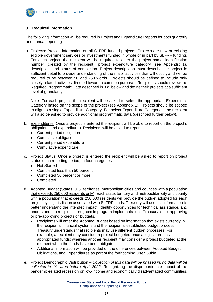#### **3. Required Information**

The following information will be required in Project and Expenditure Reports for both quarterly and annual reporting:

a. Projects: Provide information on all SLFRF funded projects. Projects are new or existing eligible government services or investments funded in whole or in part by SLFRF funding. For each project, the recipient will be required to enter the project name, identification number (created by the recipient), project expenditure category (see Appendix 1), description, and status of completion. Project descriptions must describe the project in sufficient detail to provide understanding of the major activities that will occur, and will be required to be between 50 and 250 words. Projects should be defined to include only closely related activities directed toward a common purpose. Recipients should review the Required Programmatic Data described in 3.g. below and define their projects at a sufficient level of granularity.

Note: For each project, the recipient will be asked to select the appropriate Expenditure Category based on the scope of the project (see Appendix 1). Projects should be scoped to align to a single Expenditure Category. For select Expenditure Categories, the recipient will also be asked to provide additional programmatic data (described further below).

- b. Expenditures: Once a project is entered the recipient will be able to report on the project's obligations and expenditures. Recipients will be asked to report:
	- Current period obligation
	- Cumulative obligation
	- Current period expenditure
	- Cumulative expenditure
- c. Project Status: Once a project is entered the recipient will be asked to report on project status each reporting period, in four categories:
	- Not Started
	- Completed less than 50 percent
	- Completed 50 percent or more
	- Completed
- d. Adopted Budget (States, U.S. territories, metropolitan cities and counties with a population that exceeds 250,000 residents only): Each state, territory and metropolitan city and county with a population that exceeds 250,000 residents will provide the budget adopted for each project by its jurisdiction associated with SLFRF funds. Treasury will use this information to better understand the intended impact, identify opportunities for technical assistance, and understand the recipient's progress in program implementation. Treasury is not approving or pre-approving projects or budgets.
	- Recipients will enter the Adopted Budget based on information that exists currently in the recipient's financial systems and the recipient's established budget process. Treasury understands that recipients may use different budget processes. For example, a recipient may consider a project budgeted once a legislature has appropriated funds; whereas another recipient may consider a project budgeted at the moment when the funds have been obligated.
	- Additional information will be provided on the differences between Adopted Budget, Obligations, and Expenditures as part of the forthcoming User Guide.
- e. Project Demographic Distribution *Collection of this data will be phased in; no data will be collected in this area before April 2022:* Recognizing the disproportionate impact of the pandemic-related recession on low-income and economically disadvantaged communities,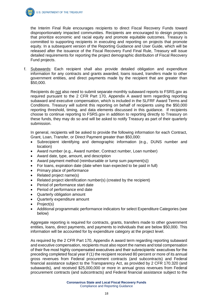

the Interim Final Rule encourages recipients to direct Fiscal Recovery Funds toward disproportionately impacted communities. Recipients are encouraged to design projects that prioritize economic and racial equity and promote equitable outcomes. Treasury is committed to supporting recipients in executing and reporting on projects that promote equity. In a subsequent version of the Reporting Guidance and User Guide, which will be released after the issuance of the Fiscal Recovery Fund Final Rule, Treasury will issue detailed requirements for reporting the project demographic distribution of Fiscal Recovery Fund projects.

f. Subawards: Each recipient shall also provide detailed obligation and expenditure information for any contracts and grants awarded, loans issued, transfers made to other government entities, and direct payments made by the recipient that are greater than \$50,000.

Recipients do not also need to submit separate monthly subaward reports to FSRS.gov as required pursuant to the 2 CFR Part 170, Appendix A award term regarding reporting subaward and executive compensation, which is included in the SLFRF Award Terms and Conditions. Treasury will submit this reporting on behalf of recipients using the \$50,000 reporting threshold, timing, and data elements discussed in this guidance. If recipients choose to continue reporting to FSRS.gov in addition to reporting directly to Treasury on these funds, they may do so and will be asked to notify Treasury as part of their quarterly submission.

In general, recipients will be asked to provide the following information for each Contract, Grant, Loan, Transfer, or Direct Payment greater than \$50,000:

- Subrecipient identifying and demographic information (e.g., DUNS number and location)
- Award number (e.g., Award number, Contract number, Loan number)
- Award date, type, amount, and description
- Award payment method (reimbursable or lump sum payment(s))
- For loans, expiration date (date when loan expected to be paid in full)
- Primary place of performance
- Related project name(s)
- Related project identification number(s) (created by the recipient)
- Period of performance start date
- Period of performance end date
- Quarterly obligation amount
- Quarterly expenditure amount
- Project(s)
- Additional programmatic performance indicators for select Expenditure Categories (see below)

Aggregate reporting is required for contracts, grants, transfers made to other government entities, loans, direct payments, and payments to individuals that are below \$50,000. This information will be accounted for by expenditure category at the project level.

As required by the 2 CFR Part 170, Appendix A award term regarding reporting subaward and executive compensation, recipients must also report the names and total compensation of their five most highly compensated executives and their subrecipients' executives for the preceding completed fiscal year if (1) the recipient received 80 percent or more of its annual gross revenues from Federal procurement contracts (and subcontracts) and Federal financial assistance subject to the Transparency Act, as provided by 2 CFR 170.320 (and subawards), and received \$25,000,000 or more in annual gross revenues from Federal procurement contracts (and subcontracts) and Federal financial assistance subject to the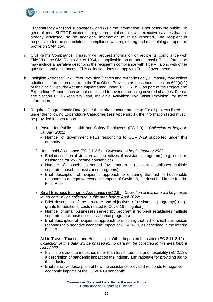

Transparency Act (and subawards), and (2) if the information is not otherwise public. In general, most SLFRF Recipients are governmental entities with executive salaries that are already disclosed, so no additional information must be reported. The recipient is responsible for the subrecipients' compliance with registering and maintaining an updated profile on SAM.gov.

- g. Civil Rights Compliance: Treasury will request information on recipients' compliance with Title VI of the Civil Rights Act of 1964, as applicable, on an annual basis. This information may include a narrative describing the recipient's compliance with Title VI, along with other questions and assurances. This collection does not apply to Tribal Governments.
- h. Ineligible Activities: Tax Offset Provision (States and territories only): Treasury may collect additional information related to the Tax Offset Provision as described in section 602(c)(2) of the Social Security Act and implemented under 31 CFR 35.8 as part of the Project and Expenditure Report, such as but not limited to revenue reducing covered changes. Please see Section C.11 (Recovery Plan, Ineligible Activities: Tax Offset Provision) for more information.
- i. Required Programmatic Data (other than infrastructure projects): For all projects listed under the following Expenditure Categories (see Appendix 1), the information listed must be provided in each report.
	- 1. Payroll for Public Health and Safety Employees (EC 1.9) *Collection to begin in January 2022*:
		- Number of government FTEs responding to COVID-19 supported under this authority
	- 2. Household Assistance (EC 2.1-2.5) *Collection to begin January 2022*:
		- Brief description of structure and objectives of assistance program(s) (e.g., nutrition assistance for low-income households)
		- Number of households served (by program if recipient establishes multiple separate household assistance programs)
		- Brief description of recipient's approach to ensuring that aid to households responds to a negative economic impact of Covid-19, as described in the Interim Final Rule
	- 3. Small Business Economic Assistance (EC 2.9) *Collection of this data will be phased in; no data will be collected in this area before April 2022*:
		- Brief description of the structure and objectives of assistance program(s) (e.g., grants for additional costs related to Covid-19 mitigation)
		- Number of small businesses served (by program if recipient establishes multiple separate small businesses assistance programs)
		- Brief description of recipient's approach to ensuring that aid to small businesses responds to a negative economic impact of COVID-19, as described in the Interim Final Rule
	- 4. Aid to Travel, Tourism, and Hospitality or Other Impacted Industries (EC 2.11-2.12) *Collection of this data will be phased in; no data will be collected in this area before April 2022*:
		- If aid is provided to industries other than travel, tourism, and hospitality (EC 2.12), a description of pandemic impact on the industry and rationale for providing aid to the industry
		- Brief narrative description of how the assistance provided responds to negative economic impacts of the COVID-19 pandemic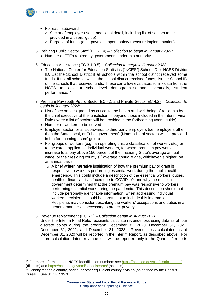

- For each subaward:
	- o Sector of employer (Note: additional detail, including list of sectors to be provided in a users' guide)
	- o Purpose of funds (e.g., payroll support, safety measure implementation)
- 5. Rehiring Public Sector Staff (EC 2.14) *Collection to begin in January 2022*:
	- Number of FTEs rehired by governments under this authority
- 6. Education Assistance (EC 3.1-3.5) *Collection to begin in January 2022*:
	- The National Center for Education Statistics ("NCES") School ID or NCES District ID. List the School District if all schools within the school district received some funds. If not all schools within the school district received funds, list the School ID of the schools that received funds. These can allow evaluators to link data from the NCES to look at school-level demographics and, eventually, student performance.<sup>15</sup>
- 7. Premium Pay (both Public Sector EC 4.1 and Private Sector EC 4.2) *Collection to begin in January 2022*:
	- List of sectors designated as critical to the health and well-being of residents by the chief executive of the jurisdiction, if beyond those included in the Interim Final Rule (Note: a list of sectors will be provided in the forthcoming users' guide).
	- Number of workers to be served
	- Employer sector for all subawards to third-party employers (i.e., employers other than the State, local, or Tribal government) (Note: a list of sectors will be provided in the forthcoming users' guide).
	- For groups of workers (e.g., an operating unit, a classification of worker, etc.) or, to the extent applicable, individual workers, for whom premium pay would increase total pay above 150 percent of their residing State's average annual wage, or their residing county's<sup>16</sup> average annual wage, whichever is higher, on an annual basis:
		- $\circ$  A brief written narrative justification of how the premium pay or grant is responsive to workers performing essential work during the public health emergency. This could include a description of the essential workers' duties, health or financial risks faced due to COVID-19, and why the recipient government determined that the premium pay was responsive to workers performing essential work during the pandemic. This description should not include personally identifiable information; when addressing individual workers, recipients should be careful not to include this information. Recipients may consider describing the workers' occupations and duties in a general manner as necessary to protect privacy.
- 8. Revenue replacement (EC 6.1) *Collection began in August 2021*:

Under the Interim Final Rule, recipients calculate revenue loss using data as of four discrete points during the program: December 31, 2020, December 31, 2021, December 31, 2022, and December 31, 2023. Revenue loss calculated as of December 31, 2020 will be reported in the Interim Report, as described above. For future calculation dates, revenue loss will be reported only in the Quarter 4 reports

<sup>15</sup> For more information on NCES identification numbers see<https://nces.ed.gov/ccd/districtsearch/> (districts) and<https://nces.ed.gov/ccd/schoolsearch/> (schools).

<sup>16</sup> *County* means a county, parish, or other equivalent county division (as defined by the Census Bureau). See 31 CFR 35.3.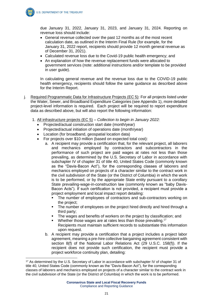due January 31, 2022, January 31, 2023, and January 31, 2024. Reporting on revenue loss should include:

- General revenue collected over the past 12 months as of the most recent calculation date, as outlined in the Interim Final Rule (for example, for the January 31, 2022 report, recipients should provide 12 month general revenue as of December 31, 2021).
- Calculated revenue loss due to the Covid-19 public health emergency; and
- An explanation of how the revenue replacement funds were allocated to government services (note: additional instructions and/or template to be provided in user guide).

In calculating general revenue and the revenue loss due to the COVID-19 public health emergency, recipients should follow the same guidance as described above for the Interim Report.

- j. Required Programmatic Data for Infrastructure Projects (EC 5): For all projects listed under the Water, Sewer, and Broadband Expenditure Categories (see Appendix 1), more detailed project-level information is required. Each project will be required to report expenditure data as described above, but will also report the following information:
	- 1. All infrastructure projects (EC 5) *Collection to begin in January 2022:*
		- Projected/actual construction start date (month/year)
		- Projected/actual initiation of operations date (month/year)
		- Location (for broadband, geospatial location data)
		- For projects over \$10 million (based on expected total cost):
			- a. A recipient may provide a certification that, for the relevant project, all laborers and mechanics employed by contractors and subcontractors in the performance of such project are paid wages at rates not less than those prevailing, as determined by the U.S. Secretary of Labor in accordance with subchapter IV of chapter 31 of title 40, United States Code (commonly known as the "Davis-Bacon Act"), for the corresponding classes of laborers and mechanics employed on projects of a character similar to the contract work in the civil subdivision of the State (or the District of Columbia) in which the work is to be performed, or by the appropriate State entity pursuant to a corollary State prevailing-wage-in-construction law (commonly known as "baby Davis-Bacon Acts"). If such certification is not provided, a recipient must provide a project employment and local impact report detailing:
				- The number of employees of contractors and sub-contractors working on the project;
				- **•** The number of employees on the project hired directly and hired through a third party;
				- The wages and benefits of workers on the project by classification; and
				- $\blacksquare$  Whether those wages are at rates less than those prevailing.<sup>17</sup> Recipients must maintain sufficient records to substantiate this information upon request.
			- b. A recipient may provide a certification that a project includes a project labor agreement, meaning a pre-hire collective bargaining agreement consistent with section 8(f) of the National Labor Relations Act (29 U.S.C. 158(f)). If the recipient does not provide such certification, the recipient must provide a project workforce continuity plan, detailing:

<sup>&</sup>lt;sup>17</sup> As determined by the U.S. Secretary of Labor in accordance with subchapter IV of chapter 31 of title 40, United States Code (commonly known as the "Davis-Bacon Act"), for the corresponding classes of laborers and mechanics employed on projects of a character similar to the contract work in the civil subdivision of the State (or the District of Columbia) in which the work is to be performed.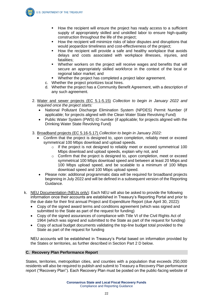

- How the recipient will minimize risks of labor disputes and disruptions that would jeopardize timeliness and cost-effectiveness of the project;
- How the recipient will provide a safe and healthy workplace that avoids delays and costs associated with workplace illnesses, injuries, and fatalities;
- Whether workers on the project will receive wages and benefits that will secure an appropriately skilled workforce in the context of the local or regional labor market; and
- Whether the project has completed a project labor agreement.
- c. Whether the project prioritizes local hires.
- d. Whether the project has a Community Benefit Agreement, with a description of any such agreement.
- 2. Water and sewer projects (EC 5.1-5.15) *Collection to begin in January 2022 and required once the project starts:*
	- National Pollutant Discharge Elimination System (NPDES) Permit Number (if applicable; for projects aligned with the Clean Water State Revolving Fund)
	- Public Water System (PWS) ID number (if applicable; for projects aligned with the Drinking Water State Revolving Fund)
- 3. Broadband projects (EC 5.16-5.17) *Collection to begin in January 2022:*
	- Confirm that the project is designed to, upon completion, reliably meet or exceed symmetrical 100 Mbps download and upload speeds.
		- o If the project is not designed to reliably meet or exceed symmetrical 100 Mbps download and upload speeds, explain why not, and
		- $\circ$  Confirm that the project is designed to, upon completion, meet or exceed symmetrical 100 Mbps download speed and between at least 20 Mbps and 100 Mbps upload speed, and be scalable to a minimum of 100 Mbps download speed and 100 Mbps upload speed.
	- Please note: additional programmatic data will be required for broadband projects beginning in July 2022 and will be defined in a subsequent version of the Reporting Guidance.
- k. NEU Documentation (NEUs only): Each NEU will also be asked to provide the following information once their accounts are established in Treasury's Reporting Portal and prior to the due date for their first annual Project and Expenditure Report (due April 30, 2022):
	- Copy of the signed award terms and conditions agreement (which was signed and submitted to the State as part of the request for funding)
	- Copy of the signed assurances of compliance with Title VI of the Civil Rights Act of 1964 (which was signed and submitted to the State as part of the request for funding)
	- Copy of actual budget documents validating the top-line budget total provided to the State as part of the request for funding

NEU accounts will be established in Treasury's Portal based on information provided by the States or territories, as further described in Section Part 2 D below.

#### **C. Recovery Plan Performance Report**

States, territories, metropolitan cities, and counties with a population that exceeds 250,000 residents will also be required to publish and submit to Treasury a Recovery Plan performance report ("Recovery Plan"). Each Recovery Plan must be posted on the public-facing website of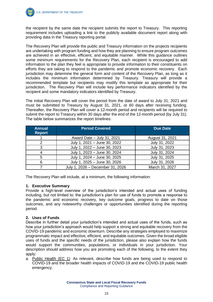the recipient by the same date the recipient submits the report to Treasury. This reporting requirement includes uploading a link to the publicly available document report along with providing data in the Treasury reporting portal.

The Recovery Plan will provide the public and Treasury information on the projects recipients are undertaking with program funding and how they are planning to ensure program outcomes are achieved in an effective, efficient, and equitable manner. While this guidance outlines some minimum requirements for the Recovery Plan, each recipient is encouraged to add information to the plan they feel is appropriate to provide information to their constituents on efforts they are taking to respond to the pandemic and promote economic recovery. Each jurisdiction may determine the general form and content of the Recovery Plan, as long as it includes the minimum information determined by Treasury. Treasury will provide a recommended template but recipients may modify this template as appropriate for their jurisdiction. The Recovery Plan will include key performance indicators identified by the recipient and some mandatory indicators identified by Treasury.

The initial Recovery Plan will cover the period from the date of award to July 31, 2021 and must be submitted to Treasury by August 31, 2021, or 60 days after receiving funding. Thereafter, the Recovery Plan will cover a 12-month period and recipients will be required to submit the report to Treasury within 30 days after the end of the 12-month period (by July 31). The table below summarizes the report timelines:

| <b>Annual</b><br><b>Report</b> | <b>Period Covered</b>            | <b>Due Date</b> |
|--------------------------------|----------------------------------|-----------------|
|                                | Award Date - July 31, 2021       | August 31, 2021 |
| 2                              | July 1, 2021 - June 30, 2022     | July 31, 2022   |
| 3                              | July 1, 2022 - June 30, 2023     | July 31, 2023   |
|                                | July 1, 2023 - June 30, 2024     | July 31, 2024   |
| 5                              | July 1, 2024 - June 30, 2025     | July 31, 2025   |
| 6                              | July 1, 2025 - June 30, 2026     | July 31, 2026   |
|                                | July 1, 2026 - December 31, 2026 | March 31, 2027  |

The Recovery Plan will include, at a minimum, the following information:

#### **1. Executive Summary**

Provide a high-level overview of the jurisdiction's intended and actual uses of funding including, but not limited to: the jurisdiction's plan for use of funds to promote a response to the pandemic and economic recovery, key outcome goals, progress to date on those outcomes, and any noteworthy challenges or opportunities identified during the reporting period.

#### **2. Uses of Funds**

Describe in further detail your jurisdiction's intended and actual uses of the funds, such as how your jurisdiction's approach would help support a strong and equitable recovery from the COVID-19 pandemic and economic downturn. Describe any strategies employed to maximize programmatic impact and effective, efficient, and equitable outcomes. Given the broad eligible uses of funds and the specific needs of the jurisdiction, please also explain how the funds would support the communities, populations, or individuals in your jurisdiction. Your description should address how you are promoting each of the following, to the extent they apply:

a. Public Health (EC 1): As relevant, describe how funds are being used to respond to COVID-19 and the broader health impacts of COVID-19 and the COVID-19 public health emergency.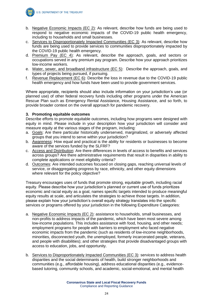

- b. Negative Economic Impacts (EC 2): As relevant, describe how funds are being used to respond to negative economic impacts of the COVID-19 public health emergency, including to households and small businesses.
- c. Services to Disproportionately Impacted Communities (EC 3): As relevant, describe how funds are being used to provide services to communities disproportionately impacted by the COVID-19 public health emergency.
- d. Premium Pay (EC 4): As relevant, describe the approach, goals, and sectors or occupations served in any premium pay program. Describe how your approach prioritizes low-income workers.
- e. Water, sewer, and broadband infrastructure (EC 5): Describe the approach, goals, and types of projects being pursued, if pursuing.
- f. Revenue Replacement (EC 6): Describe the loss in revenue due to the COVID-19 public health emergency and how funds have been used to provide government services.

Where appropriate, recipients should also include information on your jurisdiction's use (or planned use) of other federal recovery funds including other programs under the American Rescue Plan such as Emergency Rental Assistance, Housing Assistance, and so forth, to provide broader context on the overall approach for pandemic recovery.

#### **3. Promoting equitable outcomes**

Describe efforts to promote equitable outcomes, including how programs were designed with equity in mind. Please include in your description how your jurisdiction will consider and measure equity at the various stages of the program, including:

- a. Goals: Are there particular historically underserved, marginalized, or adversely affected groups that you intend to serve within your jurisdiction?
- b. Awareness: How equal and practical is the ability for residents or businesses to become aware of the services funded by the SLFRF?
- c. Access and Distribution: Are there differences in levels of access to benefits and services across groups? Are there administrative requirements that result in disparities in ability to complete applications or meet eligibility criteria?
- d. Outcomes: Are intended outcomes focused on closing gaps, reaching universal levels of service, or disaggregating progress by race, ethnicity, and other equity dimensions where relevant for the policy objective?

Treasury encourages uses of funds that promote strong, equitable growth, including racial equity. Please describe how your jurisdiction's planned or current use of funds prioritizes economic and racial equity as a goal, names specific targets intended to produce meaningful equity results at scale, and articulates the strategies to achieve those targets. In addition, please explain how your jurisdiction's overall equity strategy translates into the specific services or programs offered by your jurisdiction in the following Expenditure Categories:

- a. Negative Economic Impacts (EC 2): assistance to households, small businesses, and non-profits to address impacts of the pandemic, which have been most severe among low-income populations. This includes assistance with food, housing, and other needs; employment programs for people with barriers to employment who faced negative economic impacts from the pandemic (such as residents of low-income neighborhoods, minorities, disconnected youth, the unemployed, formerly incarcerated people, veterans, and people with disabilities); and other strategies that provide disadvantaged groups with access to education, jobs, and opportunity.
- b. Services to Disproportionately Impacted Communities (EC 3): services to address health disparities and the social determinants of health, build stronger neighborhoods and communities (e.g., affordable housing), address educational disparities (e.g., evidencebased tutoring, community schools, and academic, social-emotional, and mental health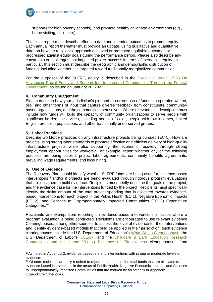supports for high poverty schools), and promote healthy childhood environments (e.g., home visiting, child care).

The initial report must describe efforts to date and intended outcomes to promote equity. Each annual report thereafter must provide an update, using qualitative and quantitative data, on how the recipients' approach achieved or promoted equitable outcomes or progressed against equity goals during the performance period. Please also describe any constraints or challenges that impacted project success in terms of increasing equity. In particular, this section must describe the geographic and demographic distribution of funding, including whether it is targeted toward traditionally marginalized communities.

For the purposes of the SLFRF, equity is described in the [Executive Order 13985 On](https://www.whitehouse.gov/briefing-room/presidential-actions/2021/01/20/executive-order-advancing-racial-equity-and-support-for-underserved-communities-through-the-federal-government/)  [Advancing Racial Equity and Support for Underserved Communities Through the Federal](https://www.whitehouse.gov/briefing-room/presidential-actions/2021/01/20/executive-order-advancing-racial-equity-and-support-for-underserved-communities-through-the-federal-government/)  [Government,](https://www.whitehouse.gov/briefing-room/presidential-actions/2021/01/20/executive-order-advancing-racial-equity-and-support-for-underserved-communities-through-the-federal-government/) as issued on January 20, 2021.

#### **4. Community Engagement**

Please describe how your jurisdiction's planned or current use of funds incorporates written, oral, and other forms of input that capture diverse feedback from constituents, communitybased organizations, and the communities themselves. Where relevant, this description must include how funds will build the capacity of community organizations to serve people with significant barriers to services, including people of color, people with low incomes, limited English proficient populations, and other traditionally underserved groups.

#### **5. Labor Practices**

Describe workforce practices on any infrastructure projects being pursued (EC 5). How are projects using strong labor standards to promote effective and efficient delivery of high-quality infrastructure projects while also supporting the economic recovery through strong employment opportunities for workers? For example, report whether any of the following practices are being utilized: project labor agreements, community benefits agreements, prevailing wage requirements, and local hiring.

#### **6. Use of Evidence**

The Recovery Plan should identify whether SLFRF funds are being used for evidence-based interventions<sup>18</sup> and/or if projects are being evaluated through rigorous program evaluations that are designed to build evidence. Recipients must briefly describe the goals of the project, and the evidence base for the interventions funded by the project. Recipients must specifically identify the dollar amount of the total project spending that is allocated towards evidencebased interventions for each project in the Public Health (EC 1), Negative Economic Impacts (EC 2), and Services to Disproportionately Impacted Communities (EC 3) Expenditure Categories.<sup>19</sup>

Recipients are exempt from reporting on evidence-based interventions in cases where a program evaluation is being conducted. Recipients are encouraged to use relevant evidence Clearinghouses, among other sources, to assess the level of evidence for their interventions and identify evidence-based models that could be applied in their jurisdiction; such evidence clearinghouses include the U.S. Department of Education's [What Works Clearinghouse,](https://ies.ed.gov/ncee/wwc/#:~:text=The%20What%20Works%20Clearinghouse%20(WWC,to%20make%20evidence%2Dbased%20decisions.) the U.S. Department of Labor's [CLEAR,](https://clear.dol.gov/) and the [Childcare & Early Education Research](https://www.acf.hhs.gov/opre/research-and-evaluation-clearinghouses)  Connections [and the Home Visiting Evidence of Effectiveness](https://www.acf.hhs.gov/opre/research-and-evaluation-clearinghouses) clearinghouses from

<sup>&</sup>lt;sup>18</sup>As noted in Appendix 2, evidence-based refers to interventions with strong or moderate levels of evidence.

<sup>&</sup>lt;sup>19</sup> Of note, recipients are only required to report the amount of the total funds that are allocated to evidence-based interventions in the areas of Public Health, Negative Economic Impacts, and Services to Disproportionately Impacted Communities that are marked by an asterisk in Appendix 1: Expenditure Categories.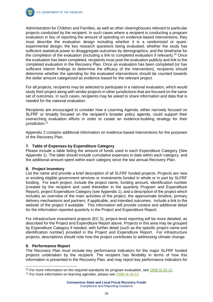

Administration for Children and Families, as well as other clearinghouses relevant to particular projects conducted by the recipient. In such cases where a recipient is conducting a program evaluation in lieu of reporting the amount of spending on evidence-based interventions, they must describe the evaluation design including whether it is a randomized or quasiexperimental design; the key research questions being evaluated; whether the study has sufficient statistical power to disaggregate outcomes by demographics; and the timeframe for the completion of the evaluation (including a link to completed evaluation if relevant).<sup>20</sup> Once the evaluation has been completed, recipients must post the evaluation publicly and link to the completed evaluation in the Recovery Plan. Once an evaluation has been completed (or has sufficient interim findings to determine the efficacy of the intervention), recipients should determine whether the spending for the evaluated interventions should be counted towards the dollar amount categorized as evidence-based for the relevant project.

For all projects, recipients may be selected to participate in a national evaluation, which would study their project along with similar projects in other jurisdictions that are focused on the same set of outcomes. In such cases, recipients may be asked to share information and data that is needed for the national evaluation.

Recipients are encouraged to consider how a Learning Agenda, either narrowly focused on SLFRF or broadly focused on the recipient's broader policy agenda, could support their overarching evaluation efforts in order to create an evidence-building strategy for their jurisdiction.<sup>21</sup>

Appendix 2 contains additional information on evidence-based interventions for the purposes of the Recovery Plan.

#### **7. Table of Expenses by Expenditure Category**

Please include a table listing the amount of funds used in each Expenditure Category (See Appendix 1). The table should include cumulative expenses to date within each category, and the additional amount spent within each category since the last annual Recovery Plan.

#### **8. Project Inventory**

List the name and provide a brief description of all SLFRF funded projects. Projects are new or existing eligible government services or investments funded in whole or in part by SLFRF funding. For each project, include the project name, funding amount, identification number (created by the recipient and used thereafter in the quarterly Program and Expenditure Report), project Expenditure Category (see Appendix 1), and a description of the project which includes an overview of the main activities of the project, the approximate timeline, primary delivery mechanisms and partners, if applicable, and intended outcomes. Include a link to the website of the project if available. This information will provide context and additional detail for the information reported quarterly in the Project and Expenditure Report.

For infrastructure investment projects (EC 5), project-level reporting will be more detailed, as described for the Project and Expenditure Report above. Projects in this area may be grouped by Expenditure Category if needed, with further detail (such as the specific project name and identification number) provided in the Project and Expenditure Report. For infrastructure projects, descriptions should note how the project contributes to addressing climate change.

#### **9. Performance Report**

The Recovery Plan must include key performance indicators for the major SLFRF funded projects undertaken by the recipient. The recipient has flexibility in terms of how this information is presented in the Recovery Plan, and may report key performance indicators for

 $20$  For more information on the required standards for program evaluation, see [OMB M-20-12.](https://www.whitehouse.gov/wp-content/uploads/2020/03/M-20-12.pdf)

<sup>21</sup> For more information on learning agendas, please see [OMB M-19-23](https://www.whitehouse.gov/wp-content/uploads/2019/07/M-19-23.pdf)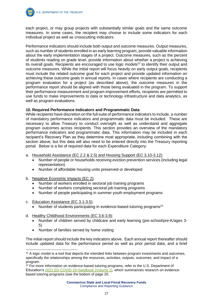each project, or may group projects with substantially similar goals and the same outcome measures. In some cases, the recipient may choose to include some indicators for each individual project as well as crosscutting indicators.

Performance indicators should include both output and outcome measures. Output measures, such as number of students enrolled in an early learning program, provide valuable information about the early implementation stages of a project. Outcome measures, such as the percent of students reading on grade level, provide information about whether a project is achieving its overall goals. Recipients are encouraged to use logic models $^{22}$  to identify their output and outcome measures. While the initial report will focus heavily on early output goals, recipients must include the related outcome goal for each project and provide updated information on achieving these outcome goals in annual reports. In cases where recipients are conducting a program evaluation for a project (as described above), the outcome measures in the performance report should be aligned with those being evaluated in the program. To support their performance measurement and program improvement efforts, recipients are permitted to use funds to make improvements to data or technology infrastructure and data analytics, as well as program evaluations.

#### **10. Required Performance Indicators and Programmatic Data**

While recipients have discretion on the full suite of performance indicators to include, a number of mandatory performance indicators and programmatic data must be included. These are necessary to allow Treasury to conduct oversight as well as understand and aggregate program outcomes across recipients. This section provides an overview of the mandatory performance indicators and programmatic data. This information may be included in each recipient's Recovery Plan as they determine most appropriate, including combining with the section above, but this data will also need to be entered directly into the Treasury reporting portal. Below is a list of required data for each Expenditure Category:

- a. Household Assistance (EC 2.2 & 2.5) and Housing Support (EC 3.10-3.12):
	- Number of people or households receiving eviction prevention services (including legal representation)
	- Number of affordable housing units preserved or developed
- b. Negative Economic Impacts (EC 2):
	- Number of workers enrolled in sectoral job training programs
	- Number of workers completing sectoral job training programs
	- Number of people participating in summer youth employment programs
- c. Education Assistance (EC 3.1-3.5):
	- Number of students participating in evidence-based tutoring programs<sup>23</sup>
- d. Healthy Childhood Environments (EC 3.6-3.9):
	- Number of children served by childcare and early learning (pre-school/pre-K/ages 3- 5)
	- Number of families served by home visiting

The initial report should include the key indicators above. Each annual report thereafter should include updated data for the performance period as well as prior period data, and a brief

 $22$  A logic model is a tool that depicts the intended links between program investments and outcomes, specifically the relationships among the resources, activities, outputs, outcomes, and impact of a program.

<sup>&</sup>lt;sup>23</sup> For more information on evidence-based tutoring programs, refer to the U.S. Department of Education's [2021 ED COVID-19 Handbook \(Volume 2\),](https://www2.ed.gov/documents/coronavirus/reopening-2.pdf) which summarizes research on evidencebased tutoring programs (see the bottom of page 20.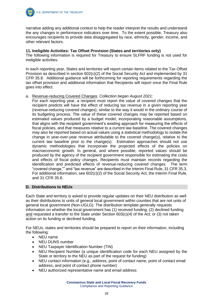

narrative adding any additional context to help the reader interpret the results and understand the any changes in performance indicators over time. To the extent possible, Treasury also encourages recipients to provide data disaggregated by race, ethnicity, gender, income, and other relevant factors.

#### **11. Ineligible Activities: Tax Offset Provision (States and territories only)**

The following information is required for Treasury to ensure SLFRF funding is not used for ineligible activities.

In each reporting year, States and territories will report certain items related to the Tax Offset Provision as described in section 602(c)(2) of the Social Security Act and implemented by 31 CFR 35.8. Additional guidance will be forthcoming for reporting requirements regarding the tax offset provision and additional information that Recipients will report once the Final Rule goes into effect.

#### a. Revenue-reducing Covered Changes: *Collection began August 2021:*

For each reporting year, a recipient must report the value of covered changes that the recipient predicts will have the effect of reducing tax revenue in a given reporting year (revenue-reducing covered changes), similar to the way it would in the ordinary course of its budgeting process. The value of these covered changes may be reported based on estimated values produced by a budget model, incorporating reasonable assumptions, that aligns with the recipient government's existing approach for measuring the effects of fiscal policies, and that measures relative to a current law baseline. The covered changes may also be reported based on actual values using a statistical methodology to isolate the change in year-over-year revenue attributable to the covered change(s), relative to the current law baseline prior to the change(s). Estimation approaches should not use dynamic methodologies that incorporate the projected effects of the policies on macroeconomic growth. In general, and where possible, reported values should be produced by the agency of the recipient government responsible for estimating the costs and effects of fiscal policy changes. Recipients must maintain records regarding the identification and predicted effects of revenue-reducing covered changes. The term "covered change,"" and "tax revenue" are described in the Interim Final Rule, 31 CFR 35.3. For additional information, see 602(c)(2) of the Social Security Act, the Interim Final Rule, and 31 CFR 35.8.

#### **D. Distributions to NEUs**

Each State and territory is asked to provide regular updates on their NEU distribution as well as their distributions to units of general local government within counties that are not units of general local government (Non-UGLG). The distribution template generally requests information on whether the local government has (1) received funding; (2) declined funding and requested a transfer to the State under Section 603(c)(4) of the Act; or (3) not taken action on its funding or declined funding.

For NEUs, states and territories should be prepared to report on their information, including the following:

- NEU name
- NEU DUNS number
- NEU Taxpayer Identification Number (TIN)
- NEU Recipient Number (a unique identification code for each NEU assigned by the State or territory to the NEU as part of the request for funding)
- NEU contact information (e.g., address, point of contact name, point of contact email address, and point of contact phone number)
- NEU authorized representative name and email address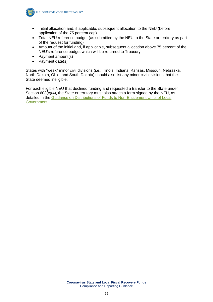

- Initial allocation and, if applicable, subsequent allocation to the NEU (before application of the 75 percent cap)
- Total NEU reference budget (as submitted by the NEU to the State or territory as part of the request for funding)
- Amount of the initial and, if applicable, subsequent allocation above 75 percent of the NEU's reference budget which will be returned to Treasury
- Payment amount(s)
- Payment date(s)

States with "weak" minor civil divisions (i.e., Illinois, Indiana, Kansas, Missouri, Nebraska, North Dakota, Ohio, and South Dakota) should also list any minor civil divisions that the State deemed ineligible.

For each eligible NEU that declined funding and requested a transfer to the State under Section 603(c)(4), the State or territory must also attach a form signed by the NEU, as detailed in the [Guidance on Distributions of Funds to Non-Entitlement Units of Local](https://home.treasury.gov/system/files/136/NEU_Guidance.pdf)  [Government.](https://home.treasury.gov/system/files/136/NEU_Guidance.pdf)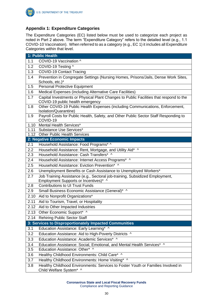

#### **Appendix 1: Expenditure Categories**

The Expenditure Categories (EC) listed below must be used to categorize each project as noted in Part 2 above. The term "Expenditure Category" refers to the detailed level (e.g., 1.1 COVID-10 Vaccination). When referred to as a category (e.g., EC 1) it includes all Expenditure Categories within that level.

|      | 1: Public Health                                                                                                           |
|------|----------------------------------------------------------------------------------------------------------------------------|
| 1.1  | COVID-19 Vaccination ^                                                                                                     |
| 1.2  | COVID-19 Testing ^                                                                                                         |
| 1.3  | <b>COVID-19 Contact Tracing</b>                                                                                            |
| 1.4  | Prevention in Congregate Settings (Nursing Homes, Prisons/Jails, Dense Work Sites,                                         |
|      | Schools, etc.)*                                                                                                            |
| 1.5  | <b>Personal Protective Equipment</b>                                                                                       |
| 1.6  | Medical Expenses (including Alternative Care Facilities)                                                                   |
| 1.7  | Capital Investments or Physical Plant Changes to Public Facilities that respond to the<br>COVID-19 public health emergency |
| 1.8  | Other COVID-19 Public Health Expenses (including Communications, Enforcement,                                              |
|      | Isolation/Quarantine)                                                                                                      |
| 1.9  | Payroll Costs for Public Health, Safety, and Other Public Sector Staff Responding to<br>COVID-19                           |
| 1.10 | Mental Health Services*                                                                                                    |
| 1.11 | Substance Use Services*                                                                                                    |
|      | 1.12 Other Public Health Services                                                                                          |
|      | 2: Negative Economic Impacts                                                                                               |
| 2.1  | Household Assistance: Food Programs* ^                                                                                     |
| 2.2  | Household Assistance: Rent, Mortgage, and Utility Aid* ^                                                                   |
| 2.3  | Household Assistance: Cash Transfers* ^                                                                                    |
| 2.4  | Household Assistance: Internet Access Programs* ^                                                                          |
| 2.5  | Household Assistance: Eviction Prevention* ^                                                                               |
| 2.6  | Unemployment Benefits or Cash Assistance to Unemployed Workers*                                                            |
| 2.7  | Job Training Assistance (e.g., Sectoral job-training, Subsidized Employment,<br>Employment Supports or Incentives)* ^      |
| 2.8  | <b>Contributions to UI Trust Funds</b>                                                                                     |
| 2.9  | Small Business Economic Assistance (General)* ^                                                                            |
| 2.10 | Aid to Nonprofit Organizations*                                                                                            |
| 2.11 | Aid to Tourism, Travel, or Hospitality                                                                                     |
| 2.12 | Aid to Other Impacted Industries                                                                                           |
| 2.13 | Other Economic Support* ^                                                                                                  |
|      | 2.14 Rehiring Public Sector Staff                                                                                          |
|      | 3: Services to Disproportionately Impacted Communities                                                                     |
| 3.1  | Education Assistance: Early Learning* ^                                                                                    |
| 3.2  | Education Assistance: Aid to High-Poverty Districts ^                                                                      |
| 3.3  | Education Assistance: Academic Services* ^                                                                                 |
| 3.4  | Education Assistance: Social, Emotional, and Mental Health Services* ^                                                     |
| 3.5  | Education Assistance: Other* ^                                                                                             |
| 3.6  | Healthy Childhood Environments: Child Care* ^                                                                              |
| 3.7  | Healthy Childhood Environments: Home Visiting* ^                                                                           |
| 3.8  | Healthy Childhood Environments: Services to Foster Youth or Families Involved in<br>Child Welfare System* ^                |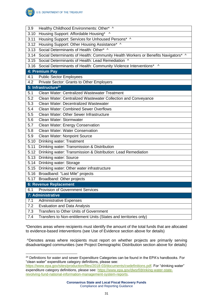

| 3.9  | Healthy Childhood Environments: Other* ^                                          |
|------|-----------------------------------------------------------------------------------|
| 3.10 | Housing Support: Affordable Housing* ^                                            |
| 3.11 | Housing Support: Services for Unhoused Persons* ^                                 |
| 3.12 | Housing Support: Other Housing Assistance* ^                                      |
| 3.13 | Social Determinants of Health: Other* ^                                           |
| 3.14 | Social Determinants of Health: Community Health Workers or Benefits Navigators* ^ |
| 3.15 | Social Determinants of Health: Lead Remediation ^                                 |
|      | 3.16 Social Determinants of Health: Community Violence Interventions* ^           |
|      | 4: Premium Pay                                                                    |
| 4.1  | <b>Public Sector Employees</b>                                                    |
| 4.2  | Private Sector: Grants to Other Employers                                         |
|      | 5: Infrastructure <sup>24</sup>                                                   |
| 5.1  | <b>Clean Water: Centralized Wastewater Treatment</b>                              |
| 5.2  | Clean Water: Centralized Wastewater Collection and Conveyance                     |
| 5.3  | Clean Water: Decentralized Wastewater                                             |
| 5.4  | <b>Clean Water: Combined Sewer Overflows</b>                                      |
| 5.5  | Clean Water: Other Sewer Infrastructure                                           |
| 5.6  | Clean Water: Stormwater                                                           |
| 5.7  | Clean Water: Energy Conservation                                                  |
| 5.8  | <b>Clean Water: Water Conservation</b>                                            |
| 5.9  | Clean Water: Nonpoint Source                                                      |
| 5.10 | <b>Drinking water: Treatment</b>                                                  |
| 5.11 | Drinking water: Transmission & Distribution                                       |
| 5.12 | Drinking water: Transmission & Distribution: Lead Remediation                     |
| 5.13 | <b>Drinking water: Source</b>                                                     |
| 5.14 | Drinking water: Storage                                                           |
| 5.15 | Drinking water: Other water infrastructure                                        |
|      | 5.16 Broadband: "Last Mile" projects                                              |
|      | 5.17 Broadband: Other projects                                                    |
|      | 6: Revenue Replacement                                                            |
| 6.1  | <b>Provision of Government Services</b>                                           |
|      | 7: Administrative                                                                 |
| 7.1  | <b>Administrative Expenses</b>                                                    |
| 7.2  | <b>Evaluation and Data Analysis</b>                                               |
| 7.3  | <b>Transfers to Other Units of Government</b>                                     |
| 7.4  | Transfers to Non-entitlement Units (States and territories only)                  |

\*Denotes areas where recipients must identify the amount of the total funds that are allocated to evidence-based interventions (see Use of Evidence section above for details)

^Denotes areas where recipients must report on whether projects are primarily serving disadvantaged communities (see Project Demographic Distribution section above for details)

<sup>&</sup>lt;sup>24</sup> Definitions for water and sewer Expenditure Categories can be found in the EPA's handbooks. For "clean water" expenditure category definitions, please see:

[https://www.epa.gov/sites/production/files/2018-03/documents/cwdefinitions.pdf.](https://www.epa.gov/sites/production/files/2018-03/documents/cwdefinitions.pdf) For "drinking water" expenditure category definitions, please see: [https://www.epa.gov/dwsrf/drinking-water-state](https://www.epa.gov/dwsrf/drinking-water-state-revolving-fund-national-information-management-system-reports)[revolving-fund-national-information-management-system-reports.](https://www.epa.gov/dwsrf/drinking-water-state-revolving-fund-national-information-management-system-reports)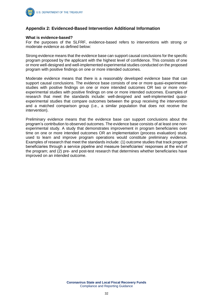

#### **Appendix 2: Evidenced-Based Intervention Additional Information**

#### **What is evidence-based?**

For the purposes of the SLFRF, evidence-based refers to interventions with strong or moderate evidence as defined below:

Strong evidence means that the evidence base can support causal conclusions for the specific program proposed by the applicant with the highest level of confidence. This consists of one or more well-designed and well-implemented experimental studies conducted on the proposed program with positive findings on one or more intended outcomes.

Moderate evidence means that there is a reasonably developed evidence base that can support causal conclusions. The evidence base consists of one or more quasi-experimental studies with positive findings on one or more intended outcomes OR two or more nonexperimental studies with positive findings on one or more intended outcomes. Examples of research that meet the standards include: well-designed and well-implemented quasiexperimental studies that compare outcomes between the group receiving the intervention and a matched comparison group (i.e., a similar population that does not receive the intervention).

Preliminary evidence means that the evidence base can support conclusions about the program's contribution to observed outcomes. The evidence base consists of at least one nonexperimental study. A study that demonstrates improvement in program beneficiaries over time on one or more intended outcomes OR an implementation (process evaluation) study used to learn and improve program operations would constitute preliminary evidence. Examples of research that meet the standards include: (1) outcome studies that track program beneficiaries through a service pipeline and measure beneficiaries' responses at the end of the program; and (2) pre- and post-test research that determines whether beneficiaries have improved on an intended outcome.